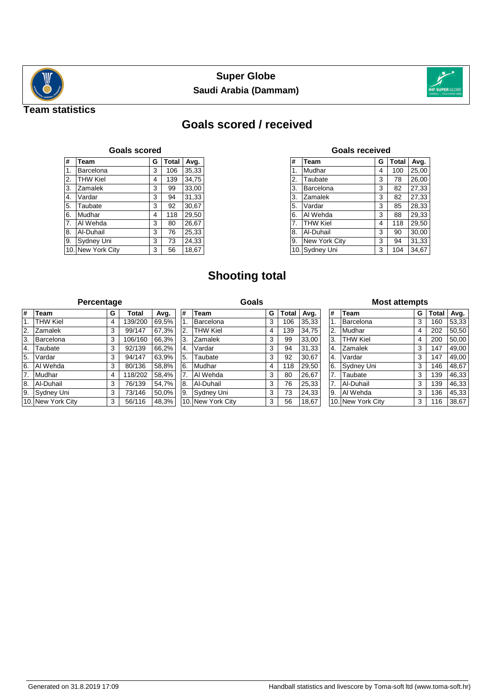



## **Team statistics**

# **Goals scored / received**

| <b>Goals scored</b> |                   |   |              |       |  |  |  |  |  |
|---------------------|-------------------|---|--------------|-------|--|--|--|--|--|
| #                   | <b>Team</b>       | G | <b>Total</b> | Avg.  |  |  |  |  |  |
| $\mathbf{1}$ .      | Barcelona         | 3 | 106          | 35,33 |  |  |  |  |  |
| 2.                  | <b>THW Kiel</b>   | 4 | 139          | 34,75 |  |  |  |  |  |
| $\overline{3}$ .    | Zamalek           | 3 | 99           | 33,00 |  |  |  |  |  |
| 4.                  | Vardar            | 3 | 94           | 31,33 |  |  |  |  |  |
| 5.                  | Taubate           | 3 | 92           | 30,67 |  |  |  |  |  |
| 6.                  | Mudhar            | 4 | 118          | 29,50 |  |  |  |  |  |
| 7.                  | Al Wehda          | 3 | 80           | 26,67 |  |  |  |  |  |
| 8.                  | Al-Duhail         | 3 | 76           | 25,33 |  |  |  |  |  |
| 9.                  | Sydney Uni        | 3 | 73           | 24,33 |  |  |  |  |  |
|                     | 10. New York City | 3 | 56           | 18,67 |  |  |  |  |  |

## **Goals received**

| #  | <b>Team</b>     | G | <b>Total</b> | Avg.  |
|----|-----------------|---|--------------|-------|
| 1. | Mudhar          | 4 | 100          | 25,00 |
| 2. | Taubate         | 3 | 78           | 26.00 |
| 3. | Barcelona       | 3 | 82           | 27,33 |
| 3. | Zamalek         | 3 | 82           | 27,33 |
| 5. | Vardar          | 3 | 85           | 28,33 |
| 6. | Al Wehda        | 3 | 88           | 29,33 |
| 7. | <b>THW Kiel</b> | 4 | 118          | 29,50 |
| 8. | Al-Duhail       | 3 | 90           | 30,00 |
| 9. | New York City   | 3 | 94           | 31,33 |
|    | 10. Sydney Uni  | 3 | 104          | 34,67 |

# **Shooting total**

#### **Percentage**

| <b>Percentage</b> |                   |  | Goals |         |       | <b>Most attempts</b> |                   |  |   |              |       |                |                   |   |              |       |
|-------------------|-------------------|--|-------|---------|-------|----------------------|-------------------|--|---|--------------|-------|----------------|-------------------|---|--------------|-------|
| #                 | Team              |  | G     | Total   | Avg.  | #                    | <b>Team</b>       |  | G | <b>Total</b> | Avg.  | #              | Team              | G | <b>Total</b> | Avg.  |
|                   | <b>THW Kiel</b>   |  | 4     | 139/200 | 69.5% |                      | Barcelona         |  | 3 | 106          | 35,33 |                | Barcelona         | 3 | 160          | 53,33 |
| I <sub>2.</sub>   | Zamalek           |  | 3     | 99/147  | 67.3% | 2.                   | <b>THW Kiel</b>   |  | 4 | 139          | 34,75 | $^{\prime}$ 2. | Mudhar            | 4 | 202          | 50.50 |
| ΙЗ.               | Barcelona         |  | 3     | 106/160 | 66,3% | 3.                   | Zamalek           |  | 3 | 99           | 33,00 | ΄3.            | <b>THW Kiel</b>   | 4 | 200          | 50,00 |
| 4.                | Taubate           |  | 3     | 92/139  | 66,2% | '4.                  | Vardar            |  | 3 | 94           | 31,33 | 4.             | Zamalek           | 3 | 147          | 49.00 |
| 5.                | Vardar            |  | 3     | 94/147  | 63,9% | 5.                   | Taubate           |  | 3 | 92           | 30,67 | 4.             | Vardar            | 3 | 147          | 49.00 |
| 6.                | Al Wehda          |  | 3     | 80/136  | 58,8% | 6.                   | Mudhar            |  | 4 | 118          | 29,50 | 16.            | Sydney Uni        | 3 | 146          | 48,67 |
| 7.                | Mudhar            |  | 4     | 118/202 | 58,4% |                      | Al Wehda          |  | 3 | 80           | 26,67 | 7.             | Taubate           | 3 | 139          | 46,33 |
| 8.                | Al-Duhail         |  | 3     | 76/139  | 54,7% | ۱8.                  | Al-Duhail         |  | 3 | 76           | 25,33 | '7.            | Al-Duhail         | 3 | 139          | 46,33 |
| 9.                | Sydney Uni        |  | 3     | 73/146  | 50,0% | '9.                  | Sydney Uni        |  | 3 | 73           | 24,33 | I9.            | Al Wehda          | 3 | 136          | 45,33 |
|                   | 10. New York City |  | 3     | 56/116  | 48,3% |                      | 10. New York City |  | 3 | 56           | 18,67 |                | 10. New York City | 3 | 116          | 38,67 |
|                   |                   |  |       |         |       |                      |                   |  |   |              |       |                |                   |   |              |       |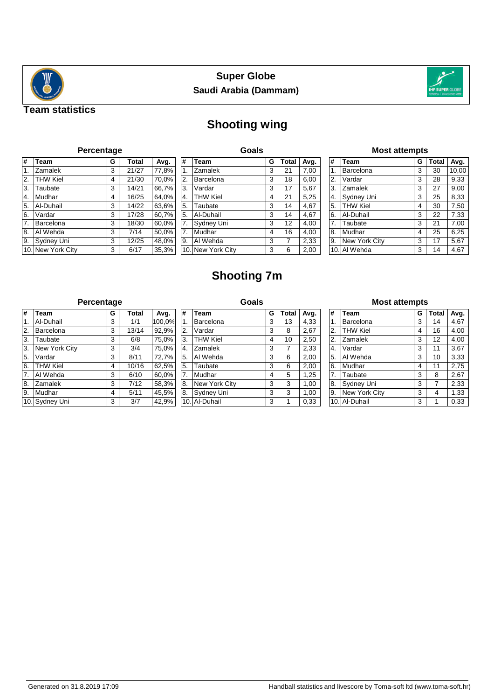



## **Team statistics**

# **Shooting wing**

## **Percentage**

| #  | <b>Team</b>       | G | <b>Total</b> | Avg.  |
|----|-------------------|---|--------------|-------|
| 1. | Zamalek           | 3 | 21/27        | 77,8% |
| 2. | <b>THW Kiel</b>   | 4 | 21/30        | 70,0% |
| 3. | Taubate           | 3 | 14/21        | 66,7% |
| 4. | Mudhar            | 4 | 16/25        | 64,0% |
| 5. | Al-Duhail         | 3 | 14/22        | 63,6% |
| 6. | Vardar            | 3 | 17/28        | 60,7% |
| 7. | Barcelona         | 3 | 18/30        | 60,0% |
| 8. | Al Wehda          | 3 | 7/14         | 50,0% |
| 9. | Sydney Uni        | 3 | 12/25        | 48,0% |
|    | 10. New York City | 3 | 6/17         | 35,3% |

|     | Goals           |   |              |      |  |  |  |  |  |  |
|-----|-----------------|---|--------------|------|--|--|--|--|--|--|
| #   | <b>Team</b>     | G | <b>Total</b> | Avg. |  |  |  |  |  |  |
| 1.  | Zamalek         | 3 | 21           | 7,00 |  |  |  |  |  |  |
| 2.  | Barcelona       | 3 | 18           | 6,00 |  |  |  |  |  |  |
| 3.  | Vardar          | 3 | 17           | 5,67 |  |  |  |  |  |  |
| 4.  | <b>THW Kiel</b> | 4 | 21           | 5,25 |  |  |  |  |  |  |
| 5.  | Taubate         | 3 | 14           | 4,67 |  |  |  |  |  |  |
| 5.  | Al-Duhail       | 3 | 14           | 4,67 |  |  |  |  |  |  |
| 7.  | Sydney Uni      | 3 | 12           | 4,00 |  |  |  |  |  |  |
| 7.  | Mudhar          | 4 | 16           | 4,00 |  |  |  |  |  |  |
| 9.  | Al Wehda        | 3 | 7            | 2,33 |  |  |  |  |  |  |
| 10. | New York City   | 3 | 6            | 2,00 |  |  |  |  |  |  |

### **Most attempts**

| #  | <b>Team</b>     | G | <b>Total</b> | Avg.  |
|----|-----------------|---|--------------|-------|
| 1. | Barcelona       | 3 | 30           | 10,00 |
| 2. | Vardar          | 3 | 28           | 9,33  |
| 3. | Zamalek         | 3 | 27           | 9,00  |
| 4. | Sydney Uni      | 3 | 25           | 8,33  |
| 5. | <b>THW Kiel</b> | 4 | 30           | 7,50  |
| 6. | Al-Duhail       | 3 | 22           | 7,33  |
| 7. | Taubate         | 3 | 21           | 7,00  |
| 8. | Mudhar          | 4 | 25           | 6,25  |
| 9. | New York City   | 3 | 17           | 5,67  |
|    | 10. Al Wehda    | 3 | 14           | 4,67  |

# **Shooting 7m**

#### **Percentage**

| #                | <b>Team</b>     | G | <b>Total</b> | Avg.   |
|------------------|-----------------|---|--------------|--------|
| $\overline{1}$ . | Al-Duhail       | 3 | 1/1          | 100,0% |
| 2.               | Barcelona       | 3 | 13/14        | 92,9%  |
| 3.               | Taubate         | 3 | 6/8          | 75,0%  |
| 3.               | New York City   | 3 | 3/4          | 75,0%  |
| 5.               | Vardar          | 3 | 8/11         | 72,7%  |
| 6.               | <b>THW Kiel</b> | 4 | 10/16        | 62,5%  |
| 7.               | Al Wehda        | 3 | 6/10         | 60,0%  |
| 8.               | Zamalek         | 3 | 7/12         | 58,3%  |
| 9.               | Mudhar          | 4 | 5/11         | 45,5%  |
|                  | 10. Sydney Uni  | 3 | 3/7          | 42,9%  |

#### **Goals # Team G Total Avg.** 1. Barcelona 3 13 4,33 2. Vardar 3 8 2,67 3. THW Kiel 4 10 2,50 4. Zamalek 3 7 2,33 5. Al Wehda 3 6 2,00 5. Taubate 3 6 2,00 7. Mudhar | 4 | 5 | 1,25 **8.** New York City **3** 3 1,00 8. Sydney Uni 3 3 3 1,00 10. Al-Duhail 3 1 0,33

#### **Most attempts**

| #  | Team            | G | <b>Total</b> | Avg. |
|----|-----------------|---|--------------|------|
| 1. | Barcelona       | 3 | 14           | 4,67 |
| 2. | <b>THW Kiel</b> | 4 | 16           | 4,00 |
| 2. | Zamalek         | 3 | 12           | 4,00 |
| 4. | Vardar          | 3 | 11           | 3,67 |
| 5. | Al Wehda        | 3 | 10           | 3,33 |
| 6. | Mudhar          | 4 | 11           | 2,75 |
| 7. | Taubate         | 3 | 8            | 2,67 |
| 8. | Sydney Uni      | 3 | 7            | 2,33 |
| 9. | New York City   | 3 | 4            | 1,33 |
|    | 10. Al-Duhail   | 3 | 1            | 0,33 |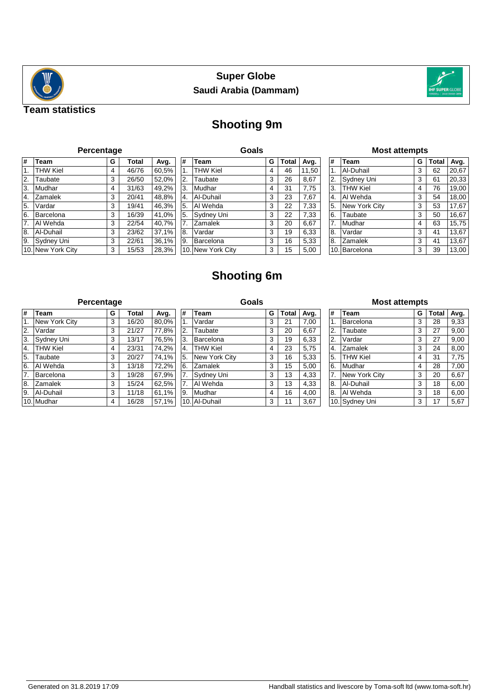



## **Team statistics**

# **Shooting 9m**

| Percentage |  |  |  |
|------------|--|--|--|
|            |  |  |  |

| #              | Team              | G | <b>Total</b> | Avg.  |
|----------------|-------------------|---|--------------|-------|
| $\mathbf{1}$ . | <b>THW Kiel</b>   | 4 | 46/76        | 60,5% |
| 2.             | Taubate           | 3 | 26/50        | 52,0% |
| 3.             | Mudhar            | 4 | 31/63        | 49,2% |
| 4.             | Zamalek           | 3 | 20/41        | 48,8% |
| 5.             | Vardar            | 3 | 19/41        | 46,3% |
| 6.             | Barcelona         | 3 | 16/39        | 41,0% |
| 7.             | Al Wehda          | 3 | 22/54        | 40,7% |
| 8.             | Al-Duhail         | 3 | 23/62        | 37,1% |
| 9.             | Sydney Uni        | 3 | 22/61        | 36,1% |
|                | 10. New York City | 3 | 15/53        | 28,3% |

|     | Goals           |   |              |       |  |  |  |  |  |  |
|-----|-----------------|---|--------------|-------|--|--|--|--|--|--|
| #   | <b>Team</b>     | G | <b>Total</b> | Avg.  |  |  |  |  |  |  |
| 1.  | <b>THW Kiel</b> | 4 | 46           | 11,50 |  |  |  |  |  |  |
| 2.  | Taubate         | 3 | 26           | 8,67  |  |  |  |  |  |  |
| 3.  | Mudhar          | 4 | 31           | 7,75  |  |  |  |  |  |  |
| 4.  | Al-Duhail       | 3 | 23           | 7,67  |  |  |  |  |  |  |
| 5.  | Al Wehda        | 3 | 22           | 7,33  |  |  |  |  |  |  |
| 5.  | Sydney Uni      | 3 | 22           | 7,33  |  |  |  |  |  |  |
| 7.  | Zamalek         | 3 | 20           | 6,67  |  |  |  |  |  |  |
| 8.  | Vardar          | 3 | 19           | 6,33  |  |  |  |  |  |  |
| 9.  | Barcelona       | 3 | 16           | 5,33  |  |  |  |  |  |  |
| 10. | New York City   | 3 | 15           | 5,00  |  |  |  |  |  |  |

## **Most attempts**

| #  | Team            | G | <b>Total</b> | Avg.  |
|----|-----------------|---|--------------|-------|
| 1. | Al-Duhail       | 3 | 62           | 20,67 |
| 2. | Sydney Uni      | 3 | 61           | 20,33 |
| 3. | <b>THW Kiel</b> | 4 | 76           | 19,00 |
| 4. | Al Wehda        | 3 | 54           | 18,00 |
| 5. | New York City   | 3 | 53           | 17,67 |
| 6. | Taubate         | 3 | 50           | 16,67 |
| 7. | Mudhar          | 4 | 63           | 15,75 |
| 8. | Vardar          | 3 | 41           | 13,67 |
| 8. | Zamalek         | 3 | 41           | 13,67 |
|    | 10. Barcelona   | 3 | 39           | 13,00 |

# **Shooting 6m**

## **Percentage**

| #                | <b>Team</b>     | G | <b>Total</b> | Avg.                |
|------------------|-----------------|---|--------------|---------------------|
| $\overline{1}$ . | New York City   | 3 | 16/20        | 80,0%               |
| 2.               | Vardar          | 3 | 21/27        | 77,8%               |
| 3.               | Sydney Uni      | 3 | 13/17        | 76,5%               |
| 4.               | <b>THW Kiel</b> | 4 | 23/31        | 74,2%               |
| 5.               | Taubate         | 3 | 20/27        | $\overline{74,1\%}$ |
| 6.               | Al Wehda        | 3 | 13/18        | 72,2%               |
| 7.               | Barcelona       | 3 | 19/28        | 67,9%               |
| 8.               | Zamalek         | 3 | 15/24        | 62,5%               |
| 9.               | Al-Duhail       | 3 | 11/18        | 61,1%               |
|                  | 10. Mudhar      | 4 | 16/28        | 57,1%               |

| Goals |                 |   |              |      |  |
|-------|-----------------|---|--------------|------|--|
| #     | Team            | G | <b>Total</b> | Avg. |  |
| 1.    | Vardar          | 3 | 21           | 7,00 |  |
| 2.    | Taubate         | 3 | 20           | 6,67 |  |
| 3.    | Barcelona       | 3 | 19           | 6,33 |  |
| 4.    | <b>THW Kiel</b> | 4 | 23           | 5,75 |  |
| 5.    | New York City   | 3 | 16           | 5,33 |  |
| 6.    | Zamalek         | 3 | 15           | 5,00 |  |
| 7.    | Sydney Uni      | 3 | 13           | 4,33 |  |
| 7.    | Al Wehda        | 3 | 13           | 4,33 |  |
| 9.    | Mudhar          | 4 | 16           | 4,00 |  |
| 10.   | Al-Duhail       | 3 | 11           | 3,67 |  |

### **Most attempts**

| #  | Team            | G | Total | Avg. |
|----|-----------------|---|-------|------|
| 1. | Barcelona       | 3 | 28    | 9,33 |
| 2. | Taubate         | 3 | 27    | 9,00 |
| 2. | Vardar          | 3 | 27    | 9,00 |
| 4. | Zamalek         | 3 | 24    | 8,00 |
| 5. | <b>THW Kiel</b> | 4 | 31    | 7,75 |
| 6. | Mudhar          | 4 | 28    | 7,00 |
| 7. | New York City   | 3 | 20    | 6,67 |
| 8. | Al-Duhail       | 3 | 18    | 6,00 |
| 8. | Al Wehda        | 3 | 18    | 6,00 |
|    | 10. Sydney Uni  | 3 | 17    | 5,67 |